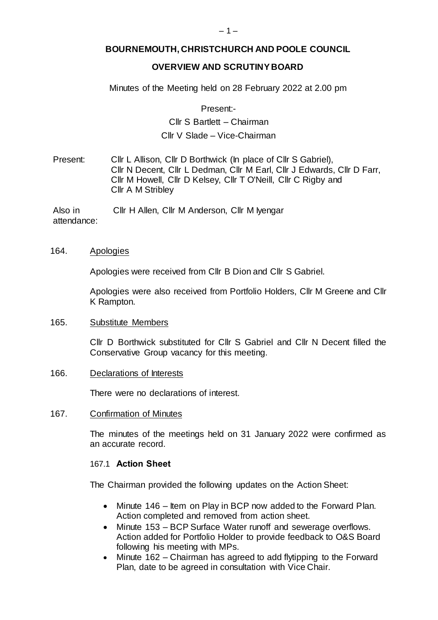# **BOURNEMOUTH, CHRISTCHURCH AND POOLE COUNCIL**

# **OVERVIEW AND SCRUTINY BOARD**

Minutes of the Meeting held on 28 February 2022 at 2.00 pm

Present:-

# Cllr S Bartlett – Chairman Cllr V Slade – Vice-Chairman

Present: Cllr L Allison, Cllr D Borthwick (In place of Cllr S Gabriel), Cllr N Decent, Cllr L Dedman, Cllr M Earl, Cllr J Edwards, Cllr D Farr, Cllr M Howell, Cllr D Kelsey, Cllr T O'Neill, Cllr C Rigby and Cllr A M Stribley

Also in attendance: Cllr H Allen, Cllr M Anderson, Cllr M Iyengar

#### 164. Apologies

Apologies were received from Cllr B Dion and Cllr S Gabriel.

Apologies were also received from Portfolio Holders, Cllr M Greene and Cllr K Rampton.

#### 165. Substitute Members

Cllr D Borthwick substituted for Cllr S Gabriel and Cllr N Decent filled the Conservative Group vacancy for this meeting.

#### 166. Declarations of Interests

There were no declarations of interest.

#### 167. Confirmation of Minutes

The minutes of the meetings held on 31 January 2022 were confirmed as an accurate record.

#### 167.1 **Action Sheet**

The Chairman provided the following updates on the Action Sheet:

- Minute 146 Item on Play in BCP now added to the Forward Plan. Action completed and removed from action sheet.
- Minute 153 BCP Surface Water runoff and sewerage overflows. Action added for Portfolio Holder to provide feedback to O&S Board following his meeting with MPs.
- Minute 162 Chairman has agreed to add flytipping to the Forward Plan, date to be agreed in consultation with Vice Chair.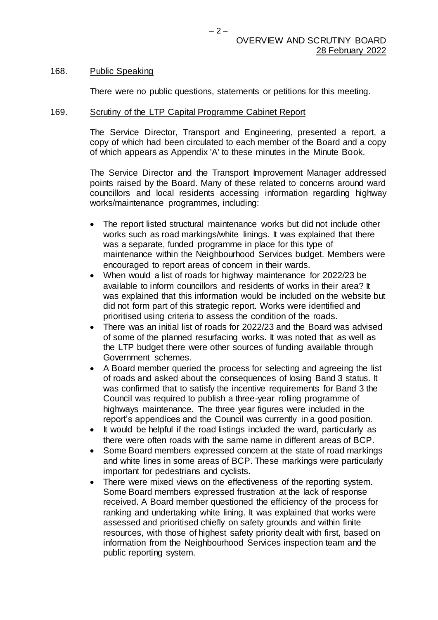#### 168. Public Speaking

There were no public questions, statements or petitions for this meeting.

#### 169. Scrutiny of the LTP Capital Programme Cabinet Report

The Service Director, Transport and Engineering, presented a report, a copy of which had been circulated to each member of the Board and a copy of which appears as Appendix 'A' to these minutes in the Minute Book.

The Service Director and the Transport Improvement Manager addressed points raised by the Board. Many of these related to concerns around ward councillors and local residents accessing information regarding highway works/maintenance programmes, including:

- The report listed structural maintenance works but did not include other works such as road markings/white linings. It was explained that there was a separate, funded programme in place for this type of maintenance within the Neighbourhood Services budget. Members were encouraged to report areas of concern in their wards.
- When would a list of roads for highway maintenance for 2022/23 be available to inform councillors and residents of works in their area? It was explained that this information would be included on the website but did not form part of this strategic report. Works were identified and prioritised using criteria to assess the condition of the roads.
- There was an initial list of roads for 2022/23 and the Board was advised of some of the planned resurfacing works. It was noted that as well as the LTP budget there were other sources of funding available through Government schemes.
- A Board member queried the process for selecting and agreeing the list of roads and asked about the consequences of losing Band 3 status. It was confirmed that to satisfy the incentive requirements for Band 3 the Council was required to publish a three-year rolling programme of highways maintenance. The three year figures were included in the report's appendices and the Council was currently in a good position.
- It would be helpful if the road listings included the ward, particularly as there were often roads with the same name in different areas of BCP.
- Some Board members expressed concern at the state of road markings and white lines in some areas of BCP. These markings were particularly important for pedestrians and cyclists.
- There were mixed views on the effectiveness of the reporting system. Some Board members expressed frustration at the lack of response received. A Board member questioned the efficiency of the process for ranking and undertaking white lining. It was explained that works were assessed and prioritised chiefly on safety grounds and within finite resources, with those of highest safety priority dealt with first, based on information from the Neighbourhood Services inspection team and the public reporting system.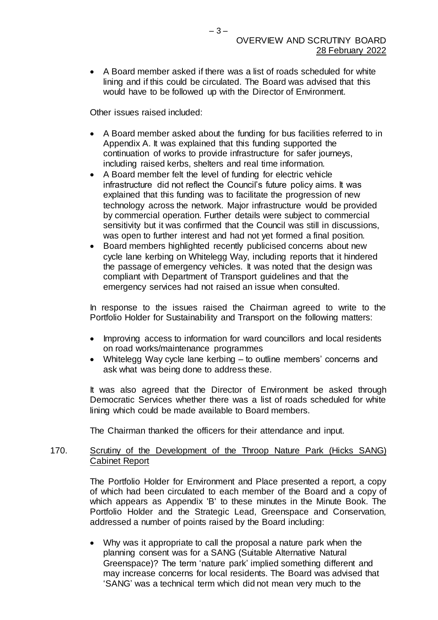A Board member asked if there was a list of roads scheduled for white lining and if this could be circulated. The Board was advised that this would have to be followed up with the Director of Environment.

Other issues raised included:

- A Board member asked about the funding for bus facilities referred to in Appendix A. It was explained that this funding supported the continuation of works to provide infrastructure for safer journeys, including raised kerbs, shelters and real time information.
- A Board member felt the level of funding for electric vehicle infrastructure did not reflect the Council's future policy aims. It was explained that this funding was to facilitate the progression of new technology across the network. Major infrastructure would be provided by commercial operation. Further details were subject to commercial sensitivity but it was confirmed that the Council was still in discussions, was open to further interest and had not yet formed a final position.
- Board members highlighted recently publicised concerns about new cycle lane kerbing on Whitelegg Way, including reports that it hindered the passage of emergency vehicles. It was noted that the design was compliant with Department of Transport guidelines and that the emergency services had not raised an issue when consulted.

In response to the issues raised the Chairman agreed to write to the Portfolio Holder for Sustainability and Transport on the following matters:

- Improving access to information for ward councillors and local residents on road works/maintenance programmes
- Whitelegg Way cycle lane kerbing to outline members' concerns and ask what was being done to address these.

It was also agreed that the Director of Environment be asked through Democratic Services whether there was a list of roads scheduled for white lining which could be made available to Board members.

The Chairman thanked the officers for their attendance and input.

## 170. Scrutiny of the Development of the Throop Nature Park (Hicks SANG) Cabinet Report

The Portfolio Holder for Environment and Place presented a report, a copy of which had been circulated to each member of the Board and a copy of which appears as Appendix 'B' to these minutes in the Minute Book. The Portfolio Holder and the Strategic Lead, Greenspace and Conservation, addressed a number of points raised by the Board including:

 Why was it appropriate to call the proposal a nature park when the planning consent was for a SANG (Suitable Alternative Natural Greenspace)? The term 'nature park' implied something different and may increase concerns for local residents. The Board was advised that 'SANG' was a technical term which did not mean very much to the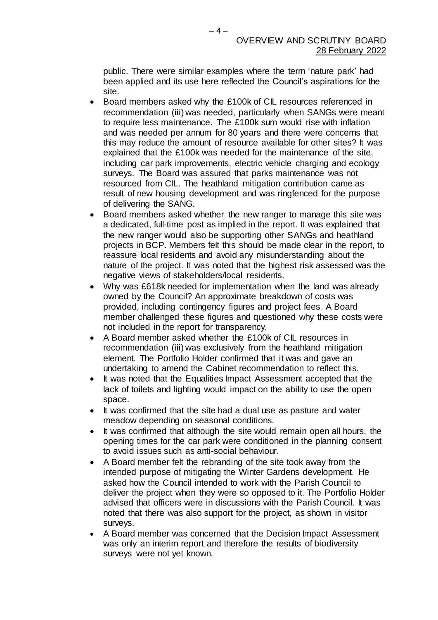public. There were similar examples where the term 'nature park' had been applied and its use here reflected the Council's aspirations for the site.

- Board members asked why the £100k of CIL resources referenced in recommendation (iii) was needed, particularly when SANGs were meant to require less maintenance. The £100k sum would rise with inflation and was needed per annum for 80 years and there were concerns that this may reduce the amount of resource available for other sites? It was explained that the £100k was needed for the maintenance of the site, including car park improvements, electric vehicle charging and ecology surveys. The Board was assured that parks maintenance was not resourced from CIL. The heathland mitigation contribution came as result of new housing development and was ringfenced for the purpose of delivering the SANG.
- Board members asked whether the new ranger to manage this site was a dedicated, full-time post as implied in the report. It was explained that the new ranger would also be supporting other SANGs and heathland projects in BCP. Members felt this should be made clear in the report, to reassure local residents and avoid any misunderstanding about the nature of the project. It was noted that the highest risk assessed was the negative views of stakeholders/local residents.
- Why was £618k needed for implementation when the land was already owned by the Council? An approximate breakdown of costs was provided, including contingency figures and project fees. A Board member challenged these figures and questioned why these costs were not included in the report for transparency.
- A Board member asked whether the £100k of CIL resources in recommendation (iii) was exclusively from the heathland mitigation element. The Portfolio Holder confirmed that it was and gave an undertaking to amend the Cabinet recommendation to reflect this.
- It was noted that the Equalities Impact Assessment accepted that the lack of toilets and lighting would impact on the ability to use the open space.
- It was confirmed that the site had a dual use as pasture and water meadow depending on seasonal conditions.
- It was confirmed that although the site would remain open all hours, the opening times for the car park were conditioned in the planning consent to avoid issues such as anti-social behaviour.
- A Board member felt the rebranding of the site took away from the intended purpose of mitigating the Winter Gardens development. He asked how the Council intended to work with the Parish Council to deliver the project when they were so opposed to it. The Portfolio Holder advised that officers were in discussions with the Parish Council. It was noted that there was also support for the project, as shown in visitor surveys.
- A Board member was concerned that the Decision Impact Assessment was only an interim report and therefore the results of biodiversity surveys were not yet known.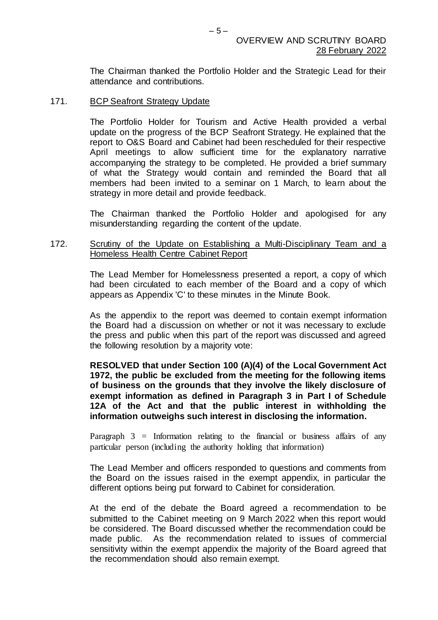The Chairman thanked the Portfolio Holder and the Strategic Lead for their attendance and contributions.

#### 171. BCP Seafront Strategy Update

The Portfolio Holder for Tourism and Active Health provided a verbal update on the progress of the BCP Seafront Strategy. He explained that the report to O&S Board and Cabinet had been rescheduled for their respective April meetings to allow sufficient time for the explanatory narrative accompanying the strategy to be completed. He provided a brief summary of what the Strategy would contain and reminded the Board that all members had been invited to a seminar on 1 March, to learn about the strategy in more detail and provide feedback.

The Chairman thanked the Portfolio Holder and apologised for any misunderstanding regarding the content of the update.

### 172. Scrutiny of the Update on Establishing a Multi-Disciplinary Team and a Homeless Health Centre Cabinet Report

The Lead Member for Homelessness presented a report, a copy of which had been circulated to each member of the Board and a copy of which appears as Appendix 'C' to these minutes in the Minute Book.

As the appendix to the report was deemed to contain exempt information the Board had a discussion on whether or not it was necessary to exclude the press and public when this part of the report was discussed and agreed the following resolution by a majority vote:

## **RESOLVED that under Section 100 (A)(4) of the Local Government Act 1972, the public be excluded from the meeting for the following items of business on the grounds that they involve the likely disclosure of exempt information as defined in Paragraph 3 in Part I of Schedule 12A of the Act and that the public interest in withholding the information outweighs such interest in disclosing the information.**

Paragraph 3 = Information relating to the financial or business affairs of any particular person (including the authority holding that information)

The Lead Member and officers responded to questions and comments from the Board on the issues raised in the exempt appendix, in particular the different options being put forward to Cabinet for consideration.

At the end of the debate the Board agreed a recommendation to be submitted to the Cabinet meeting on 9 March 2022 when this report would be considered. The Board discussed whether the recommendation could be made public. As the recommendation related to issues of commercial sensitivity within the exempt appendix the majority of the Board agreed that the recommendation should also remain exempt.